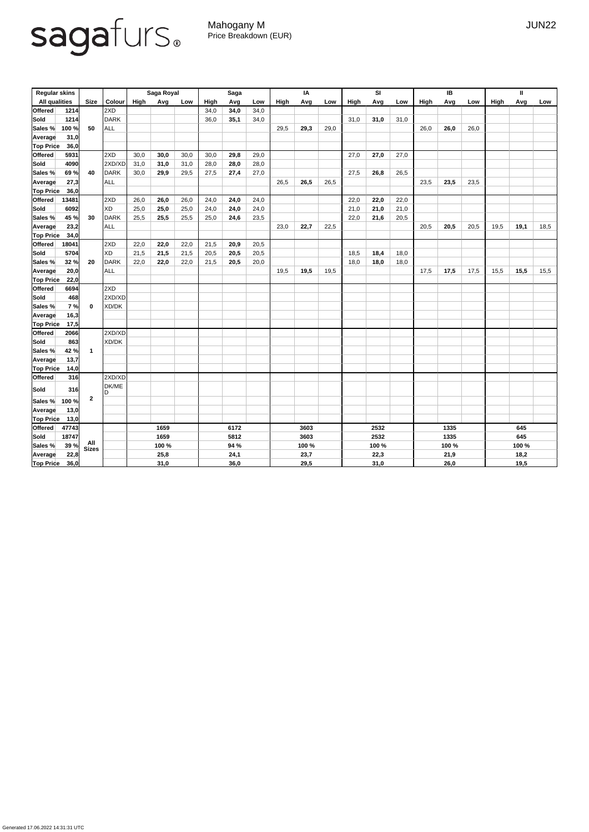## sagafurs.

Mahogany M JUN22 Price Breakdown (EUR)

| <b>Regular skins</b> |       |                         |               | Saga Royal |       |      | <b>Saga</b> |      |      | IA          |       |      | SI          |      |      | IB          |      |      | Ш           |      |      |
|----------------------|-------|-------------------------|---------------|------------|-------|------|-------------|------|------|-------------|-------|------|-------------|------|------|-------------|------|------|-------------|------|------|
| <b>All qualities</b> |       | <b>Size</b>             | <b>Colour</b> | High       | Avg   | Low  | High        | Avg  | Low  | <b>High</b> | Avg   | Low  | <b>High</b> | Avg  | Low  | <b>High</b> | Avg  | Low  | <b>High</b> | Avg  | Low  |
| <b>Offered</b>       | 1214  |                         | 2XD           |            |       |      | 34,0        | 34,0 | 34,0 |             |       |      |             |      |      |             |      |      |             |      |      |
| <b>Sold</b>          | 1214  |                         | <b>DARK</b>   |            |       |      | 36,0        | 35,1 | 34,0 |             |       |      | 31,0        | 31,0 | 31,0 |             |      |      |             |      |      |
| Sales %              | 100 % | 50                      | <b>ALL</b>    |            |       |      |             |      |      | 29,5        | 29,3  | 29,0 |             |      |      | 26,0        | 26,0 | 26,0 |             |      |      |
| <b>Average</b>       | 31,0  |                         |               |            |       |      |             |      |      |             |       |      |             |      |      |             |      |      |             |      |      |
| <b>Top Price</b>     | 36,0  |                         |               |            |       |      |             |      |      |             |       |      |             |      |      |             |      |      |             |      |      |
| <b>Offered</b>       | 5931  |                         | 2XD           | 30,0       | 30,0  | 30,0 | 30,0        | 29,8 | 29,0 |             |       |      | 27,0        | 27,0 | 27,0 |             |      |      |             |      |      |
| <b>Sold</b>          | 4090  |                         | 2XD/XD        | 31,0       | 31,0  | 31,0 | 28,0        | 28,0 | 28,0 |             |       |      |             |      |      |             |      |      |             |      |      |
| Sales %              | 69%   | 40                      | <b>DARK</b>   | 30,0       | 29,9  | 29,5 | 27,5        | 27,4 | 27,0 |             |       |      | 27,5        | 26,8 | 26,5 |             |      |      |             |      |      |
| Average              | 27,3  |                         | <b>ALL</b>    |            |       |      |             |      |      | 26,5        | 26,5  | 26,5 |             |      |      | 23,5        | 23,5 | 23,5 |             |      |      |
| <b>Top Price</b>     | 36,0  |                         |               |            |       |      |             |      |      |             |       |      |             |      |      |             |      |      |             |      |      |
| <b>Offered</b>       | 13481 |                         | 2XD           | 26,0       | 26,0  | 26,0 | 24,0        | 24,0 | 24,0 |             |       |      | 22,0        | 22,0 | 22,0 |             |      |      |             |      |      |
| <b>Sold</b>          | 6092  |                         | XD            | 25,0       | 25,0  | 25,0 | 24,0        | 24,0 | 24,0 |             |       |      | 21,0        | 21,0 | 21,0 |             |      |      |             |      |      |
| Sales %              | 45 %  | 30                      | <b>DARK</b>   | 25,5       | 25,5  | 25,5 | 25,0        | 24,6 | 23,5 |             |       |      | 22,0        | 21,6 | 20,5 |             |      |      |             |      |      |
| <b>Average</b>       | 23,2  |                         | <b>ALL</b>    |            |       |      |             |      |      | 23,0        | 22,7  | 22,5 |             |      |      | 20,5        | 20,5 | 20,5 | 19,5        | 19,1 | 18,5 |
| <b>Top Price</b>     | 34,0  |                         |               |            |       |      |             |      |      |             |       |      |             |      |      |             |      |      |             |      |      |
| <b>Offered</b>       | 18041 |                         | 2XD           | 22,0       | 22,0  | 22,0 | 21,5        | 20,9 | 20,5 |             |       |      |             |      |      |             |      |      |             |      |      |
| <b>Sold</b>          | 5704  |                         | XD            | 21,5       | 21,5  | 21,5 | 20,5        | 20,5 | 20,5 |             |       |      | 18,5        | 18,4 | 18,0 |             |      |      |             |      |      |
| Sales %              | 32 %  | 20                      | <b>DARK</b>   | 22,0       | 22,0  | 22,0 | 21,5        | 20,5 | 20,0 |             |       |      | 18,0        | 18,0 | 18,0 |             |      |      |             |      |      |
| <b>Average</b>       | 20,0  |                         | <b>ALL</b>    |            |       |      |             |      |      | 19,5        | 19,5  | 19,5 |             |      |      | 17,5        | 17,5 | 17,5 | 15,5        | 15,5 | 15,5 |
| <b>Top Price</b>     | 22,0  |                         |               |            |       |      |             |      |      |             |       |      |             |      |      |             |      |      |             |      |      |
| <b>Offered</b>       | 6694  |                         | 2XD           |            |       |      |             |      |      |             |       |      |             |      |      |             |      |      |             |      |      |
| <b>Sold</b>          | 468   |                         | 2XD/XD        |            |       |      |             |      |      |             |       |      |             |      |      |             |      |      |             |      |      |
| Sales %              | 7%    | $\bf{0}$                | XD/DK         |            |       |      |             |      |      |             |       |      |             |      |      |             |      |      |             |      |      |
| Average              | 16,3  |                         |               |            |       |      |             |      |      |             |       |      |             |      |      |             |      |      |             |      |      |
| <b>Top Price</b>     | 17,5  |                         |               |            |       |      |             |      |      |             |       |      |             |      |      |             |      |      |             |      |      |
| Offered              | 2066  |                         | 2XD/XD        |            |       |      |             |      |      |             |       |      |             |      |      |             |      |      |             |      |      |
| Sold                 | 863   |                         | XD/DK         |            |       |      |             |      |      |             |       |      |             |      |      |             |      |      |             |      |      |
| Sales %              | 42 %  | $\overline{\mathbf{1}}$ |               |            |       |      |             |      |      |             |       |      |             |      |      |             |      |      |             |      |      |
| Average              | 13,7  |                         |               |            |       |      |             |      |      |             |       |      |             |      |      |             |      |      |             |      |      |
| <b>Top Price</b>     | 14,0  |                         |               |            |       |      |             |      |      |             |       |      |             |      |      |             |      |      |             |      |      |
| Offered              | 316   |                         | 2XD/XD        |            |       |      |             |      |      |             |       |      |             |      |      |             |      |      |             |      |      |
| Sold                 | 316   |                         | DK/ME<br>ID   |            |       |      |             |      |      |             |       |      |             |      |      |             |      |      |             |      |      |
| Sales %              | 100 % | $\boldsymbol{2}$        |               |            |       |      |             |      |      |             |       |      |             |      |      |             |      |      |             |      |      |
| Average              | 13,0  |                         |               |            |       |      |             |      |      |             |       |      |             |      |      |             |      |      |             |      |      |
| <b>Top Price</b>     | 13,0  |                         |               |            |       |      |             |      |      |             |       |      |             |      |      |             |      |      |             |      |      |
| <b>Offered</b>       | 47743 |                         |               | 1659       |       |      | 6172        |      | 3603 |             |       | 2532 |             |      |      | 1335        |      |      | 645         |      |      |
| Sold                 | 18747 |                         |               |            | 1659  |      | 5812        |      |      |             | 3603  |      |             | 2532 |      |             | 1335 |      |             | 645  |      |
| Sales %              | 39%   | All<br>Sizes            |               |            | 100 % |      |             | 94 % |      |             | 100 % |      | 100 %       |      |      | 100 %       |      |      | 100 %       |      |      |
| Average              | 22,8  |                         |               |            | 25,8  |      |             | 24,1 |      |             | 23,7  |      |             | 22,3 |      | 21,9        |      |      | 18,2        |      |      |
| <b>Top Price</b>     | 36,0  |                         |               |            | 31,0  |      |             | 36,0 |      |             | 29,5  |      |             | 31,0 |      |             | 26,0 |      |             | 19,5 |      |